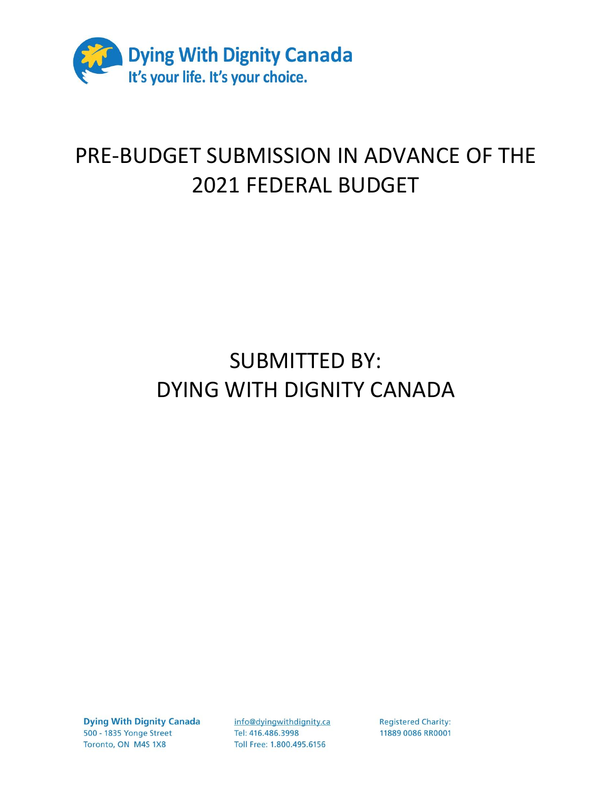

## PRE-BUDGET SUBMISSION IN ADVANCE OF THE 2021 FEDERAL BUDGET

## SUBMITTED BY: DYING WITH DIGNITY CANADA

**Dying With Dignity Canada** 500 - 1835 Yonge Street Toronto, ON M4S 1X8

info@dyingwithdignity.ca Tel: 416.486.3998 Toll Free: 1.800.495.6156

**Registered Charity:** 11889 0086 RR0001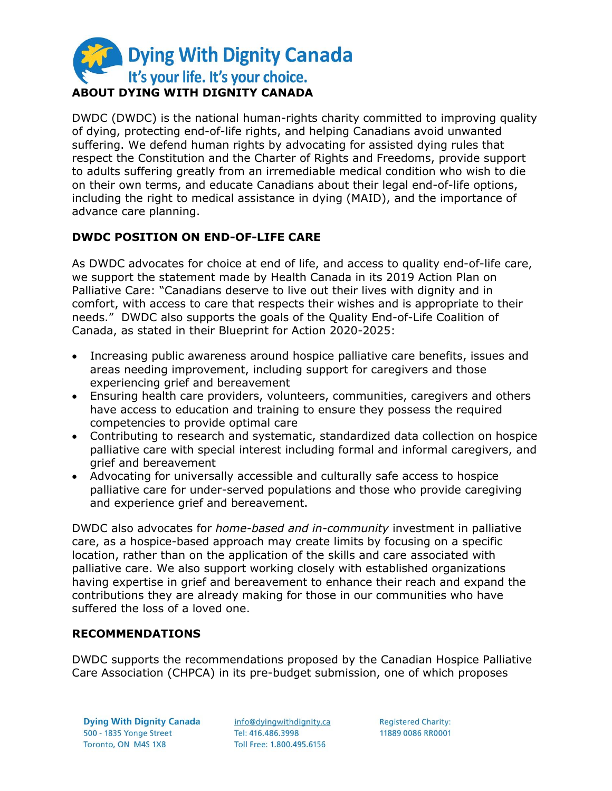

DWDC (DWDC) is the national human-rights charity committed to improving quality of dying, protecting end-of-life rights, and helping Canadians avoid unwanted suffering. We defend human rights by advocating for assisted dying rules that respect the Constitution and the Charter of Rights and Freedoms, provide support to adults suffering greatly from an irremediable medical condition who wish to die on their own terms, and educate Canadians about their legal end-of-life options, including the right to medical assistance in dying (MAID), and the importance of advance care planning.

## **DWDC POSITION ON END-OF-LIFE CARE**

As DWDC advocates for choice at end of life, and access to quality end-of-life care, we support the statement made by Health Canada in its 2019 Action Plan on Palliative Care: "Canadians deserve to live out their lives with dignity and in comfort, with access to care that respects their wishes and is appropriate to their needs." DWDC also supports the goals of the Quality End-of-Life Coalition of Canada, as stated in their Blueprint for Action 2020-2025:

- Increasing public awareness around hospice palliative care benefits, issues and areas needing improvement, including support for caregivers and those experiencing grief and bereavement
- Ensuring health care providers, volunteers, communities, caregivers and others have access to education and training to ensure they possess the required competencies to provide optimal care
- Contributing to research and systematic, standardized data collection on hospice palliative care with special interest including formal and informal caregivers, and grief and bereavement
- Advocating for universally accessible and culturally safe access to hospice palliative care for under-served populations and those who provide caregiving and experience grief and bereavement.

DWDC also advocates for *home-based and in-community* investment in palliative care, as a hospice-based approach may create limits by focusing on a specific location, rather than on the application of the skills and care associated with palliative care. We also support working closely with established organizations having expertise in grief and bereavement to enhance their reach and expand the contributions they are already making for those in our communities who have suffered the loss of a loved one.

## **RECOMMENDATIONS**

DWDC supports the recommendations proposed by the Canadian Hospice Palliative Care Association (CHPCA) in its pre-budget submission, one of which proposes

**Dying With Dignity Canada** 500 - 1835 Yonge Street Toronto, ON M4S 1X8

info@dyingwithdignity.ca Tel: 416.486.3998 Toll Free: 1.800.495.6156

**Registered Charity:** 11889 0086 RR0001